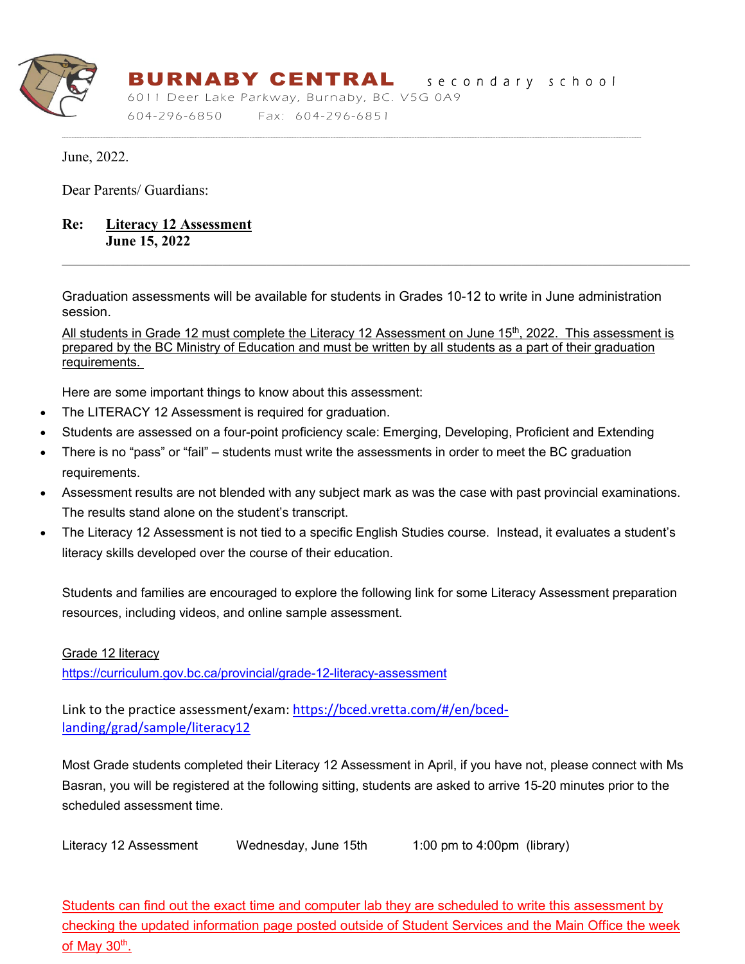

# BURNABY CENTRALsecondary school

----------------------------------------------------------------------------------------------------------------------------------------------------------------------------------------------------------------------------------------------------------------------------------------------------------------------------------------------------------------------

6011 Deer Lake Parkway, Burnaby, BC. V5G 0A9 604-296 -6850 Fax: 604-296-6851

June, 2022.

Dear Parents/ Guardians:

# **Re: Literacy 12 Assessment June 15, 2022**

Graduation assessments will be available for students in Grades 10-12 to write in June administration session.

All students in Grade 12 must complete the Literacy 12 Assessment on June 15<sup>th</sup>, 2022. This assessment is prepared by the BC Ministry of Education and must be written by all students as a part of their graduation requirements.

Here are some important things to know about this assessment:

- The LITERACY 12 Assessment is required for graduation.
- Students are assessed on a four-point proficiency scale: Emerging, Developing, Proficient and Extending
- There is no "pass" or "fail" students must write the assessments in order to meet the BC graduation requirements.
- Assessment results are not blended with any subject mark as was the case with past provincial examinations. The results stand alone on the student's transcript.
- The Literacy 12 Assessment is not tied to a specific English Studies course. Instead, it evaluates a student's literacy skills developed over the course of their education.

Students and families are encouraged to explore the following link for some Literacy Assessment preparation resources, including videos, and online sample assessment.

Grade 12 literacy

<https://curriculum.gov.bc.ca/provincial/grade-12-literacy-assessment>

Link to the practice assessment/exam: [https://bced.vretta.com/#/en/bced](https://bced.vretta.com/#/en/bced-landing/grad/sample/literacy12)[landing/grad/sample/literacy12](https://bced.vretta.com/#/en/bced-landing/grad/sample/literacy12)

Most Grade students completed their Literacy 12 Assessment in April, if you have not, please connect with Ms Basran, you will be registered at the following sitting, students are asked to arrive 15-20 minutes prior to the scheduled assessment time.

Literacy 12 Assessment Wednesday, June 15th 1:00 pm to 4:00pm (library)

Students can find out the exact time and computer lab they are scheduled to write this assessment by checking the updated information page posted outside of Student Services and the Main Office the week of May  $30<sup>th</sup>$ .